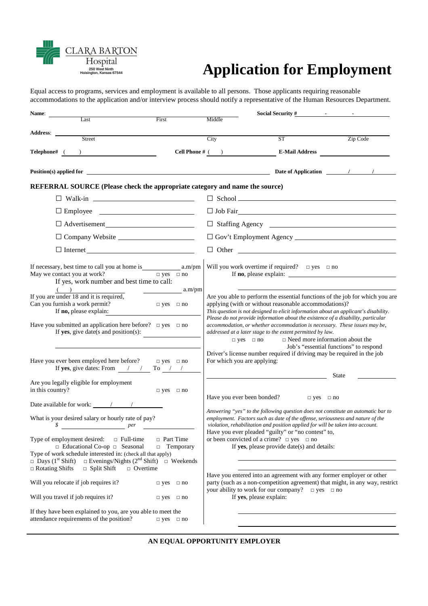Hospital L<br>250 West Ninth<br>ington, Kansas 67544

**CLAR** 

**BARTON** 

# **Application for Employment**

Equal access to programs, services and employment is available to all persons. Those applicants requiring reasonable accommodations to the application and/or interview process should notify a representative of the Human Resources Department.

| Name:                                                                                                                                                                    |                                              |                             | Social Security #                                                                                                                                                                                                                                                                                                                                 |                                        |
|--------------------------------------------------------------------------------------------------------------------------------------------------------------------------|----------------------------------------------|-----------------------------|---------------------------------------------------------------------------------------------------------------------------------------------------------------------------------------------------------------------------------------------------------------------------------------------------------------------------------------------------|----------------------------------------|
| Last                                                                                                                                                                     | First                                        | Middle                      |                                                                                                                                                                                                                                                                                                                                                   |                                        |
| Street                                                                                                                                                                   |                                              | City                        | ST                                                                                                                                                                                                                                                                                                                                                | Zip Code                               |
|                                                                                                                                                                          |                                              |                             |                                                                                                                                                                                                                                                                                                                                                   |                                        |
| $\begin{tabular}{c} \bf Telephone\#~( ) \\ \hline \end{tabular}$                                                                                                         |                                              |                             |                                                                                                                                                                                                                                                                                                                                                   |                                        |
|                                                                                                                                                                          |                                              |                             |                                                                                                                                                                                                                                                                                                                                                   |                                        |
| REFERRAL SOURCE (Please check the appropriate category and name the source)                                                                                              |                                              |                             |                                                                                                                                                                                                                                                                                                                                                   |                                        |
| $\Box$ Walk-in $\Box$                                                                                                                                                    |                                              |                             |                                                                                                                                                                                                                                                                                                                                                   |                                        |
|                                                                                                                                                                          |                                              |                             | $\Box$ Job Fair                                                                                                                                                                                                                                                                                                                                   |                                        |
| $\Box$ Advertisement<br>$\qquad \qquad \Box$                                                                                                                             |                                              |                             | $\Box$ Staffing Agency $\Box$                                                                                                                                                                                                                                                                                                                     |                                        |
| □ Company Website <u>_________________</u>                                                                                                                               |                                              |                             |                                                                                                                                                                                                                                                                                                                                                   |                                        |
|                                                                                                                                                                          |                                              |                             |                                                                                                                                                                                                                                                                                                                                                   |                                        |
| May we contact you at work?<br>If yes, work number and best time to call:<br>$($ $)$                                                                                     | $\Box$ yes $\Box$ no                         |                             | Will you work overtime if required? $\Box$ yes $\Box$ no                                                                                                                                                                                                                                                                                          |                                        |
| If you are under $\frac{18}{18}$ and it is required,<br>Can you furnish a work permit?<br>If no, please explain:                                                         | $\frac{1}{2}$ a.m/pm<br>$\Box$ yes $\Box$ no |                             | Are you able to perform the essential functions of the job for which you are<br>applying (with or without reasonable accommodations)?<br>This question is not designed to elicit information about an applicant's disability.                                                                                                                     |                                        |
| Have you submitted an application here before? $\Box$ yes $\Box$ no<br>If yes, give date(s and position(s):                                                              |                                              | $\Box$ yes $\Box$ no        | Please do not provide information about the existence of a disability, particular<br>accommodation, or whether accommodation is necessary. These issues may be,<br>addressed at a later stage to the extent permitted by law.<br>$\Box$ Need more information about the<br>Driver's license number required if driving may be required in the job | Job's "essential functions" to respond |
| Have you ever been employed here before?<br>If yes, give dates: From $\frac{\pi}{2}$ / To $\frac{\pi}{2}$                                                                | $\Box$ yes $\Box$ no                         | For which you are applying: |                                                                                                                                                                                                                                                                                                                                                   |                                        |
| Are you legally eligible for employment<br>in this country?                                                                                                              | $\hfill\Box$ yes $\hfill\Box$ no             | Have you ever been bonded?  | <u> 1980 - Johann Barbara, martin a</u><br>$\Box$ yes $\Box$ no                                                                                                                                                                                                                                                                                   | State                                  |
|                                                                                                                                                                          |                                              |                             | Answering "yes" to the following question does not constitute an automatic bar to                                                                                                                                                                                                                                                                 |                                        |
| What is your desired salary or hourly rate of pay?<br>\$<br>$per$ per                                                                                                    |                                              |                             | employment. Factors such as date of the offense, seriousness and nature of the<br>violation, rehabilitation and position applied for will be taken into account.<br>Have you ever pleaded "guilty" or "no contest" to,                                                                                                                            |                                        |
| Type of employment desired:<br>$\Box$ Full-time<br>$\Box$ Educational Co-op $\Box$ Seasonal<br>$\Box$<br>Type of work schedule interested in: (check all that apply)     | □ Part Time<br>Temporary                     |                             | or been convicted of a crime? $\Box$ yes $\Box$ no<br>If yes, please provide date(s) and details:                                                                                                                                                                                                                                                 |                                        |
| $\Box$ Evenings/Nights (2 <sup>nd</sup> Shift) $\Box$ Weekends<br>$\Box$ Days (1 <sup>st</sup> Shift)<br>$\Box$ Split Shift<br>$\Box$ Rotating Shifts<br>$\Box$ Overtime |                                              |                             |                                                                                                                                                                                                                                                                                                                                                   |                                        |
| Will you relocate if job requires it?                                                                                                                                    | $\Box$ yes $\Box$ no                         |                             | Have you entered into an agreement with any former employer or other<br>party (such as a non-competition agreement) that might, in any way, restrict<br>your ability to work for our company? $\Box$ yes $\Box$ no                                                                                                                                |                                        |
| Will you travel if job requires it?                                                                                                                                      | $\Box$ yes<br>$\Box$ no                      |                             | If yes, please explain:                                                                                                                                                                                                                                                                                                                           |                                        |
| If they have been explained to you, are you able to meet the<br>attendance requirements of the position?                                                                 | $\Box$ yes $\Box$ no                         |                             |                                                                                                                                                                                                                                                                                                                                                   |                                        |

**AN EQUAL OPPORTUNITY EMPLOYER**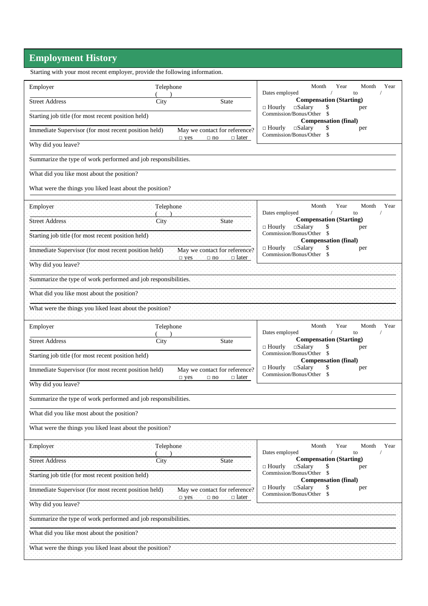## **Employment History**

|                                                                | Starting with your most recent employer, provide the following information. |                                                                              |                                                                                                           |  |  |
|----------------------------------------------------------------|-----------------------------------------------------------------------------|------------------------------------------------------------------------------|-----------------------------------------------------------------------------------------------------------|--|--|
| Employer                                                       | Telephone                                                                   |                                                                              | Month<br>Year<br>Month<br>Year<br>Dates employed<br>to                                                    |  |  |
| <b>Street Address</b>                                          | City                                                                        | <b>State</b>                                                                 | <b>Compensation (Starting)</b><br>$\square$ Salary<br>$\Box$ Hourly<br>per                                |  |  |
| Starting job title (for most recent position held)             |                                                                             |                                                                              | Commission/Bonus/Other \$<br><b>Compensation (final)</b>                                                  |  |  |
| Immediate Supervisor (for most recent position held)           |                                                                             | May we contact for reference?<br>$\Box$ later<br>$\square$ yes<br>$\Box$ no  | $\Box$ Hourly<br>$\square$ Salary<br>\$<br>per<br>Commission/Bonus/Other<br>- \$                          |  |  |
| Why did you leave?                                             |                                                                             |                                                                              |                                                                                                           |  |  |
| Summarize the type of work performed and job responsibilities. |                                                                             |                                                                              |                                                                                                           |  |  |
| What did you like most about the position?                     |                                                                             |                                                                              |                                                                                                           |  |  |
| What were the things you liked least about the position?       |                                                                             |                                                                              |                                                                                                           |  |  |
| Employer                                                       | Telephone                                                                   |                                                                              | Month<br>Year<br>Month<br>Year<br>Dates employed<br>to                                                    |  |  |
| <b>Street Address</b>                                          | City                                                                        | State                                                                        | <b>Compensation (Starting)</b><br>$\square$ Salary<br>$\Box$ Hourly<br>per                                |  |  |
| Starting job title (for most recent position held)             |                                                                             |                                                                              | Commission/Bonus/Other \$<br><b>Compensation (final)</b>                                                  |  |  |
| Immediate Supervisor (for most recent position held)           |                                                                             | May we contact for reference?<br>$\Box$ later<br>$\Box$ no<br>$\square$ yes. | $\square$ Salary<br>$\Box$ Hourly<br>per<br>Commission/Bonus/Other \$                                     |  |  |
| Why did you leave?                                             |                                                                             |                                                                              |                                                                                                           |  |  |
| Summarize the type of work performed and job responsibilities. |                                                                             |                                                                              |                                                                                                           |  |  |
| What did you like most about the position?                     |                                                                             |                                                                              |                                                                                                           |  |  |
| What were the things you liked least about the position?       |                                                                             |                                                                              |                                                                                                           |  |  |
| Employer                                                       | Telephone                                                                   |                                                                              | Year<br>Month<br>Month<br>Year<br>Dates employed<br>$\sqrt{2}$<br>to                                      |  |  |
| <b>Street Address</b>                                          | City                                                                        | <b>State</b>                                                                 | <b>Compensation (Starting)</b><br>$\square$ Salary<br>$\Box$ Hourly<br>per                                |  |  |
| Starting job title (for most recent position held)             |                                                                             |                                                                              | Commission/Bonus/Other \$<br><b>Compensation (final)</b>                                                  |  |  |
| Immediate Supervisor (for most recent position held)           |                                                                             | May we contact for reference?<br>$\Box$ later<br>$\square$ yes<br>$\Box$ no  | $\Box$ Hourly<br>$\square$ Salary<br>per<br>Commission/Bonus/Other \$                                     |  |  |
| Why did you leave?                                             |                                                                             |                                                                              |                                                                                                           |  |  |
|                                                                |                                                                             |                                                                              |                                                                                                           |  |  |
| Summarize the type of work performed and job responsibilities. |                                                                             |                                                                              |                                                                                                           |  |  |
| What did you like most about the position?                     |                                                                             |                                                                              |                                                                                                           |  |  |
| What were the things you liked least about the position?       |                                                                             |                                                                              |                                                                                                           |  |  |
| Employer                                                       | Telephone.                                                                  |                                                                              | Year<br>Month<br>Month<br>Year<br>to                                                                      |  |  |
| <b>Street Address</b>                                          | City                                                                        | State                                                                        | Dates employed<br><b>Compensation (Starting)</b>                                                          |  |  |
| Starting job title (for most recent position held)             |                                                                             |                                                                              | $\Box$ Hourly<br>$\square$ Salary<br>per<br>Commission/Bonus/Other \$                                     |  |  |
| Immediate Supervisor (for most recent position held)           |                                                                             | May we contact for reference?                                                | <b>Compensation (final)</b><br>$\square$ Salary<br>$\Box$ Hourly<br>S<br>per<br>Commission/Bonus/Other \$ |  |  |
| Why did you leave?                                             |                                                                             | $\Box$ later<br>$\neg$ yes<br>$\Box$ no                                      |                                                                                                           |  |  |
| Summarize the type of work performed and job responsibilities. |                                                                             |                                                                              |                                                                                                           |  |  |
| What did you like most about the position?                     |                                                                             |                                                                              |                                                                                                           |  |  |
| What were the things you liked least about the position?       |                                                                             |                                                                              |                                                                                                           |  |  |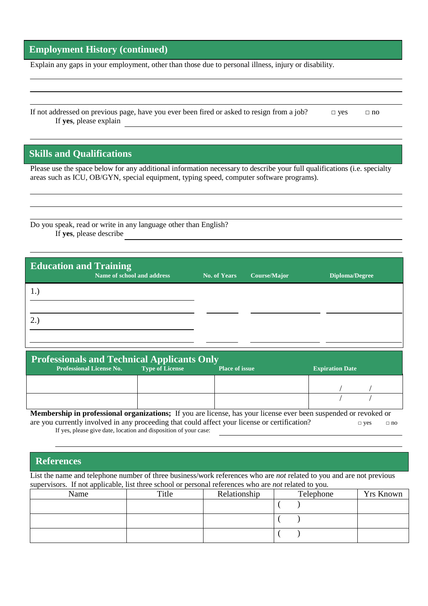### **Employment History (continued)**

Explain any gaps in your employment, other than those due to personal illness, injury or disability.

If not addressed on previous page, have you ever been fired or asked to resign from a job?  $\Box$  yes  $\Box$  no If **yes**, please explain

#### **Skills and Qualifications**

Please use the space below for any additional information necessary to describe your full qualifications (i.e. specialty areas such as ICU, OB/GYN, special equipment, typing speed, computer software programs).

Do you speak, read or write in any language other than English? If **yes**, please describe

| <b>Education and Training</b> | Name of school and address | <b>No. of Years</b> | Course/Major | <b>Diploma/Degree</b> |
|-------------------------------|----------------------------|---------------------|--------------|-----------------------|
|                               |                            |                     |              |                       |
|                               |                            |                     |              |                       |
| 2.                            |                            |                     |              |                       |
|                               |                            |                     |              |                       |

| <b>Professionals and Technical Applicants Only</b> |                        |                       |                        |  |
|----------------------------------------------------|------------------------|-----------------------|------------------------|--|
| <b>Professional License No.</b>                    | <b>Type of License</b> | <b>Place of issue</b> | <b>Expiration Date</b> |  |
|                                                    |                        |                       |                        |  |
|                                                    |                        |                       |                        |  |

**Membership in professional organizations;** If you are license, has your license ever been suspended or revoked or are you currently involved in any proceeding that could affect your license or certification? □ yes □ no If yes, please give date, location and disposition of your case:

### **References**

List the name and telephone number of three business/work references who are *not* related to you and are not previous supervisors. If not applicable, list three school or personal references who are *not* related to you.

| Name | Title | Relationship | Telephone | <b>Yrs Known</b> |
|------|-------|--------------|-----------|------------------|
|      |       |              |           |                  |
|      |       |              |           |                  |
|      |       |              |           |                  |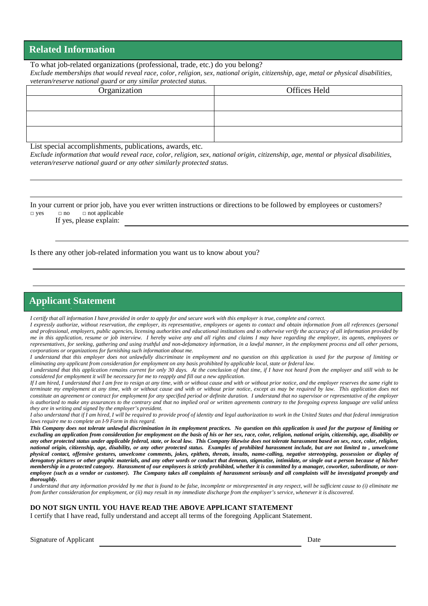#### **Related Information**

To what job-related organizations (professional, trade, etc.) do you belong?  *Exclude memberships that would reveal race, color, religion, sex, national origin, citizenship, age, metal or physical disabilities, veteran/reserve national guard or any similar protected status.* 

| reference reserve namental guara or any simular profected status. |              |  |  |  |
|-------------------------------------------------------------------|--------------|--|--|--|
| Organization                                                      | Offices Held |  |  |  |
|                                                                   |              |  |  |  |
|                                                                   |              |  |  |  |
|                                                                   |              |  |  |  |
|                                                                   |              |  |  |  |
|                                                                   |              |  |  |  |
|                                                                   |              |  |  |  |

List special accomplishments, publications, awards, etc.

*Exclude information that would reveal race, color, religion, sex, national origin, citizenship, age, mental or physical disabilities, veteran/reserve national guard or any other similarly protected status.* 

In your current or prior job, have you ever written instructions or directions to be followed by employees or customers?  $\Box$  yes  $\Box$  no  $\Box$  not applicable

If yes, please explain:

Is there any other job-related information you want us to know about you?

#### **Applicant Statement**

*I* certify that all information *I have provided in order to apply for and secure work with this employer is true, complete and correct.* 

*I expressly authorize, without reservation, the employer, its representative, employees or agents to contact and obtain information from all references (personal and professional, employers, public agencies, licensing authorities and educational institutions and to otherwise verify the accuracy of all information provided by me in this application, resume or job interview. I hereby waive any and all rights and claims I may have regarding the employer, its agents, employees or representatives, for seeking, gathering and using truthful and non-defamatory information, in a lawful manner, in the employment process and all other persons, corporations or organizations for furnishing such information about me.* 

*I understand that this employer does not unlawfully discriminate in employment and no question on this application is used for the purpose of limiting or eliminating any applicant from consideration for employment on any basis prohibited by applicable local, state or federal law.* 

*I understand that this application remains current for only 30 days. At the conclusion of that time, if I have not heard from the employer and still wish to be considered for employment it will be necessary for me to reapply and fill out a new application.* 

*If I am hired, I understand that I am free to resign at any time, with or without cause and with or without prior notice, and the employer reserves the same right to terminate my employment at any time, with or without cause and with or without prior notice, except as may be required by law. This application does not constitute an agreement or contract for employment for any specified period or definite duration. I understand that no supervisor or representative of the employer is authorized to make any assurances to the contrary and that no implied oral or written agreements contrary to the foregoing express language are valid unless they are in writing and signed by the employer's president.* 

*I also understand that if I am hired, I will be required to provide proof of identity and legal authorization to work in the United States and that federal immigration laws require me to complete an I-9 Form in this regard.* 

*This Company does not tolerate unlawful discrimination in its employment practices. No question on this application is used for the purpose of limiting or excluding an application from consideration for employment on the basis of his or her sex, race, color, religion, national origin, citizenship, age, disability or any other protected status under applicable federal, state, or local law. This Company likewise does not tolerate harassment based on sex, race, color, religion, national origin, citizenship, age, disability, or any other protected status. Examples of prohibited harassment include, but are not limited to , unwelcome physical contact, offensive gestures, unwelcome comments, jokes, epithets, threats, insults, name-calling, negative stereotyping, possession or display of derogatory pictures or other graphic materials, and any other words or conduct that demean, stigmatize, intimidate, or single out a person because of his/her membership in a protected category. Harassment of our employees is strictly prohibited, whether it is committed by a manager, coworker, subordinate, or non*employee (such as a vendor or customer). The Company takes all complaints of harassment seriously and all complaints will be investigated promptly and *thoroughly.* 

*I understand that any information provided by me that is found to be false, incomplete or misrepresented in any respect, will be sufficient cause to (i) eliminate me from further consideration for employment, or (ii) may result in my immediate discharge from the employer's service, whenever it is discovered.* 

#### **DO NOT SIGN UNTIL YOU HAVE READ THE ABOVE APPLICANT STATEMENT**

I certify that I have read, fully understand and accept all terms of the foregoing Applicant Statement.

| <b>Signature of Applicant</b> | Date |
|-------------------------------|------|
|-------------------------------|------|